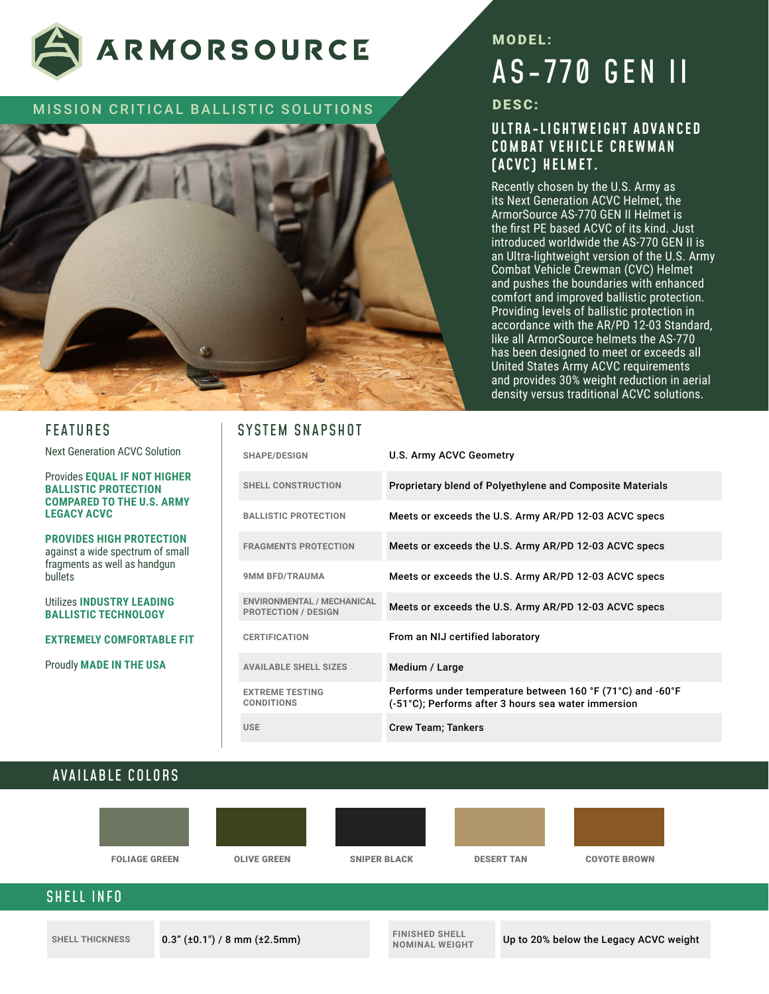

#### MISSION CRITICAL BALLISTIC SOLUTIONS



#### MODEL:

# AS-770 GEN II

#### DESC:

### **ULTRA-LIGHTWEIGHT ADVANCED COMBAT VEHICLE CREWMAN (ACVC) HELMET.**

Recently chosen by the U.S. Army as its Next Generation ACVC Helmet, the ArmorSource AS-770 GEN II Helmet is the first PE based ACVC of its kind. Just introduced worldwide the AS-770 GEN II is an Ultra-lightweight version of the U.S. Army Combat Vehicle Crewman (CVC) Helmet and pushes the boundaries with enhanced comfort and improved ballistic protection. Providing levels of ballistic protection in accordance with the AR/PD 12-03 Standard, like all ArmorSource helmets the AS-770 has been designed to meet or exceeds all United States Army ACVC requirements and provides 30% weight reduction in aerial density versus traditional ACVC solutions.

Next Generation ACVC Solution

#### Provides **EQUAL IF NOT HIGHER BALLISTIC PROTECTION COMPARED TO THE U.S. ARMY LEGACY ACVC**

**PROVIDES HIGH PROTECTION**  against a wide spectrum of small fragments as well as handgun bullets

Utilizes **INDUSTRY LEADING BALLISTIC TECHNOLOGY**

#### **EXTREMELY COMFORTABLE FIT**

Proudly **MADE IN THE USA**

### FEATURES | SYSTEM SNAPSHOT

| <b>SHAPE/DESIGN</b>                                             | U.S. Army ACVC Geometry                                                                                           |
|-----------------------------------------------------------------|-------------------------------------------------------------------------------------------------------------------|
| <b>SHELL CONSTRUCTION</b>                                       | Proprietary blend of Polyethylene and Composite Materials                                                         |
| <b>BALLISTIC PROTECTION</b>                                     | Meets or exceeds the U.S. Army AR/PD 12-03 ACVC specs                                                             |
| <b>FRAGMENTS PROTECTION</b>                                     | Meets or exceeds the U.S. Army AR/PD 12-03 ACVC specs                                                             |
| <b>9MM BFD/TRAUMA</b>                                           | Meets or exceeds the U.S. Army AR/PD 12-03 ACVC specs                                                             |
| <b>ENVIRONMENTAL / MECHANICAL</b><br><b>PROTECTION / DESIGN</b> | Meets or exceeds the U.S. Army AR/PD 12-03 ACVC specs                                                             |
| <b>CERTIFICATION</b>                                            | From an NIJ certified laboratory                                                                                  |
| <b>AVAILABLE SHELL SIZES</b>                                    | Medium / Large                                                                                                    |
| <b>EXTREME TESTING</b><br><b>CONDITIONS</b>                     | Performs under temperature between 160 °F (71°C) and -60°F<br>(-51°C); Performs after 3 hours sea water immersion |
| <b>USE</b>                                                      | <b>Crew Team; Tankers</b>                                                                                         |

## AVAILABLE COLORS